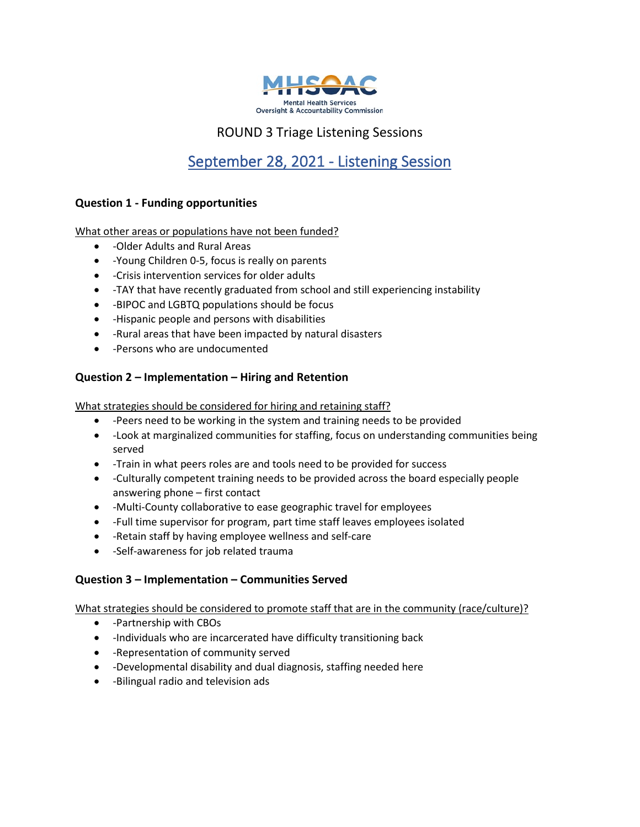

## ROUND 3 Triage Listening Sessions

# September 28, 2021 - Listening Session

### **Question 1 - Funding opportunities**

What other areas or populations have not been funded?

- -Older Adults and Rural Areas
- -Young Children 0-5, focus is really on parents
- -Crisis intervention services for older adults
- -TAY that have recently graduated from school and still experiencing instability
- -BIPOC and LGBTQ populations should be focus
- -Hispanic people and persons with disabilities
- -Rural areas that have been impacted by natural disasters
- -Persons who are undocumented

### **Question 2 – Implementation – Hiring and Retention**

What strategies should be considered for hiring and retaining staff?

- -Peers need to be working in the system and training needs to be provided
- -Look at marginalized communities for staffing, focus on understanding communities being served
- -Train in what peers roles are and tools need to be provided for success
- -Culturally competent training needs to be provided across the board especially people answering phone – first contact
- -Multi-County collaborative to ease geographic travel for employees
- -Full time supervisor for program, part time staff leaves employees isolated
- -Retain staff by having employee wellness and self-care
- -Self-awareness for job related trauma

### **Question 3 – Implementation – Communities Served**

What strategies should be considered to promote staff that are in the community (race/culture)?

- -Partnership with CBOs
- -Individuals who are incarcerated have difficulty transitioning back
- -Representation of community served
- -Developmental disability and dual diagnosis, staffing needed here
- -Bilingual radio and television ads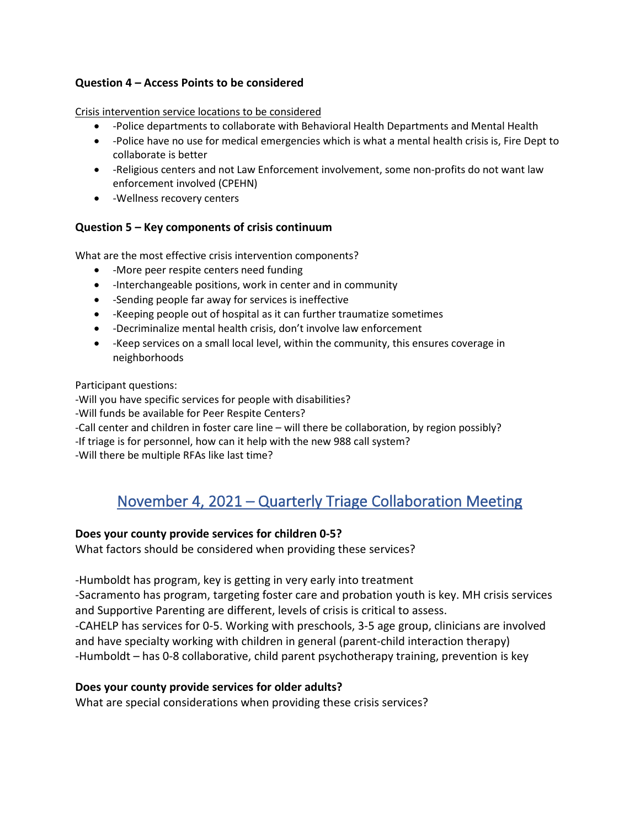### **Question 4 – Access Points to be considered**

Crisis intervention service locations to be considered

- -Police departments to collaborate with Behavioral Health Departments and Mental Health
- -Police have no use for medical emergencies which is what a mental health crisis is, Fire Dept to collaborate is better
- -Religious centers and not Law Enforcement involvement, some non-profits do not want law enforcement involved (CPEHN)
- -Wellness recovery centers

### **Question 5 – Key components of crisis continuum**

What are the most effective crisis intervention components?

- -More peer respite centers need funding
- -Interchangeable positions, work in center and in community
- -Sending people far away for services is ineffective
- -Keeping people out of hospital as it can further traumatize sometimes
- -Decriminalize mental health crisis, don't involve law enforcement
- -Keep services on a small local level, within the community, this ensures coverage in neighborhoods

### Participant questions:

-Will you have specific services for people with disabilities? -Will funds be available for Peer Respite Centers? -Call center and children in foster care line – will there be collaboration, by region possibly? -If triage is for personnel, how can it help with the new 988 call system? -Will there be multiple RFAs like last time?

## November 4, 2021 – Quarterly Triage Collaboration Meeting

## **Does your county provide services for children 0-5?**

What factors should be considered when providing these services?

-Humboldt has program, key is getting in very early into treatment

-Sacramento has program, targeting foster care and probation youth is key. MH crisis services and Supportive Parenting are different, levels of crisis is critical to assess.

-CAHELP has services for 0-5. Working with preschools, 3-5 age group, clinicians are involved and have specialty working with children in general (parent-child interaction therapy) -Humboldt – has 0-8 collaborative, child parent psychotherapy training, prevention is key

## **Does your county provide services for older adults?**

What are special considerations when providing these crisis services?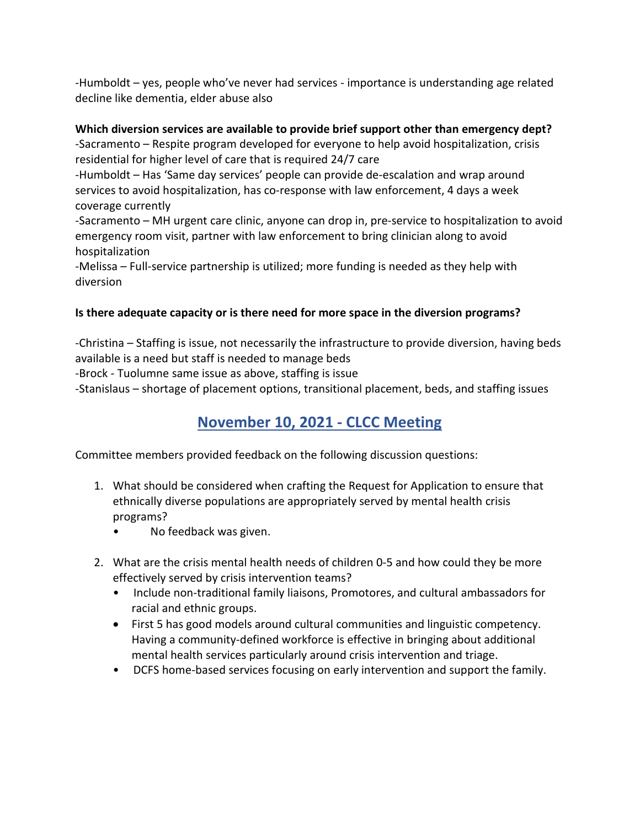-Humboldt – yes, people who've never had services - importance is understanding age related decline like dementia, elder abuse also

## **Which diversion services are available to provide brief support other than emergency dept?**

-Sacramento – Respite program developed for everyone to help avoid hospitalization, crisis residential for higher level of care that is required 24/7 care

-Humboldt – Has 'Same day services' people can provide de-escalation and wrap around services to avoid hospitalization, has co-response with law enforcement, 4 days a week coverage currently

-Sacramento – MH urgent care clinic, anyone can drop in, pre-service to hospitalization to avoid emergency room visit, partner with law enforcement to bring clinician along to avoid hospitalization

-Melissa – Full-service partnership is utilized; more funding is needed as they help with diversion

## **Is there adequate capacity or is there need for more space in the diversion programs?**

-Christina – Staffing is issue, not necessarily the infrastructure to provide diversion, having beds available is a need but staff is needed to manage beds

-Brock - Tuolumne same issue as above, staffing is issue

-Stanislaus – shortage of placement options, transitional placement, beds, and staffing issues

# **November 10, 2021 - CLCC Meeting**

Committee members provided feedback on the following discussion questions:

- 1. What should be considered when crafting the Request for Application to ensure that ethnically diverse populations are appropriately served by mental health crisis programs?
	- No feedback was given.
- 2. What are the crisis mental health needs of children 0-5 and how could they be more effectively served by crisis intervention teams?
	- Include non-traditional family liaisons, Promotores, and cultural ambassadors for racial and ethnic groups.
	- First 5 has good models around cultural communities and linguistic competency. Having a community-defined workforce is effective in bringing about additional mental health services particularly around crisis intervention and triage.
	- DCFS home-based services focusing on early intervention and support the family.